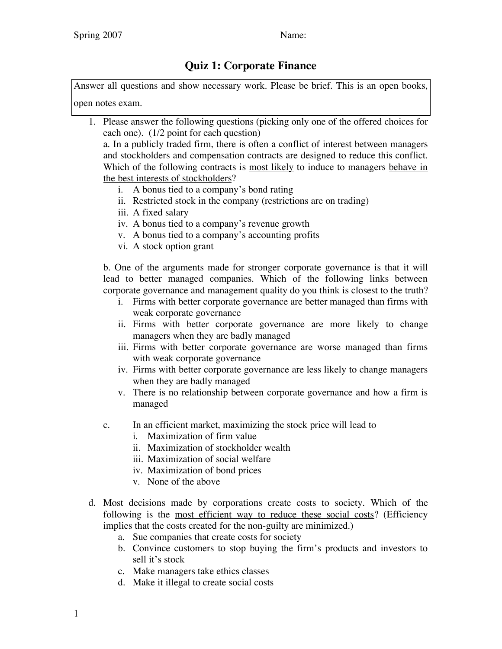## **Quiz 1: Corporate Finance**

Answer all questions and show necessary work. Please be brief. This is an open books, open notes exam.

1. Please answer the following questions (picking only one of the offered choices for each one). (1/2 point for each question)

a. In a publicly traded firm, there is often a conflict of interest between managers and stockholders and compensation contracts are designed to reduce this conflict. Which of the following contracts is most likely to induce to managers behave in the best interests of stockholders?

- i. A bonus tied to a company's bond rating
- ii. Restricted stock in the company (restrictions are on trading)
- iii. A fixed salary
- iv. A bonus tied to a company's revenue growth
- v. A bonus tied to a company's accounting profits
- vi. A stock option grant

b. One of the arguments made for stronger corporate governance is that it will lead to better managed companies. Which of the following links between corporate governance and management quality do you think is closest to the truth?

- i. Firms with better corporate governance are better managed than firms with weak corporate governance
- ii. Firms with better corporate governance are more likely to change managers when they are badly managed
- iii. Firms with better corporate governance are worse managed than firms with weak corporate governance
- iv. Firms with better corporate governance are less likely to change managers when they are badly managed
- v. There is no relationship between corporate governance and how a firm is managed
- c. In an efficient market, maximizing the stock price will lead to
	- i. Maximization of firm value
	- ii. Maximization of stockholder wealth
	- iii. Maximization of social welfare
	- iv. Maximization of bond prices
	- v. None of the above
- d. Most decisions made by corporations create costs to society. Which of the following is the most efficient way to reduce these social costs? (Efficiency implies that the costs created for the non-guilty are minimized.)
	- a. Sue companies that create costs for society
	- b. Convince customers to stop buying the firm's products and investors to sell it's stock
	- c. Make managers take ethics classes
	- d. Make it illegal to create social costs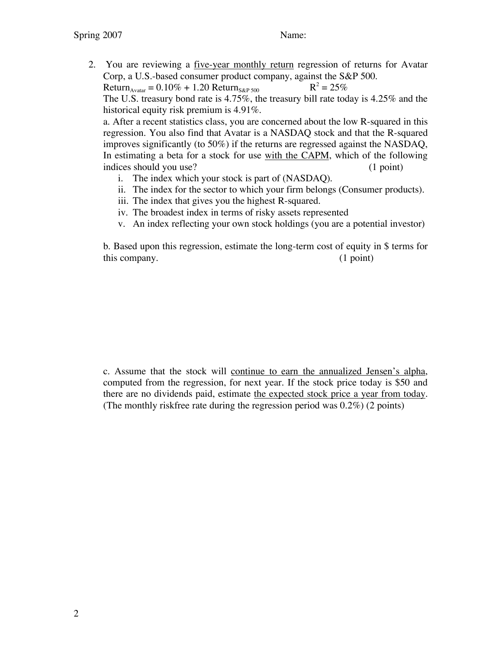2. You are reviewing a <u>five-year monthly return</u> regression of returns for Avatar Corp, a U.S.-based consumer product company, against the S&P 500.

Return<sub>Avatar</sub> =  $0.10\% + 1.20$  Return<sub>S&P 500</sub> R<sup>2</sup> =  $25\%$ 

The U.S. treasury bond rate is 4.75%, the treasury bill rate today is 4.25% and the historical equity risk premium is 4.91%.

a. After a recent statistics class, you are concerned about the low R-squared in this regression. You also find that Avatar is a NASDAQ stock and that the R-squared improves significantly (to 50%) if the returns are regressed against the NASDAQ, In estimating a beta for a stock for use with the CAPM, which of the following indices should you use? (1 point)

- i. The index which your stock is part of (NASDAQ).
- ii. The index for the sector to which your firm belongs (Consumer products).
- iii. The index that gives you the highest R-squared.
- iv. The broadest index in terms of risky assets represented
- v. An index reflecting your own stock holdings (you are a potential investor)

b. Based upon this regression, estimate the long-term cost of equity in \$ terms for this company. (1 point)

c. Assume that the stock will continue to earn the annualized Jensen's alpha, computed from the regression, for next year. If the stock price today is \$50 and there are no dividends paid, estimate the expected stock price a year from today. (The monthly riskfree rate during the regression period was 0.2%) (2 points)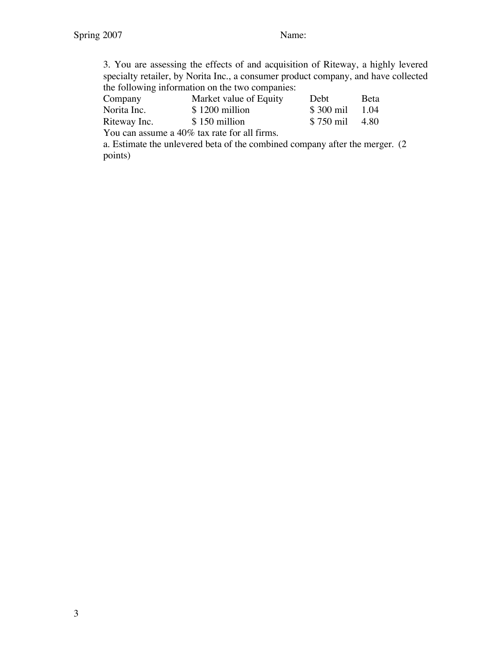3. You are assessing the effects of and acquisition of Riteway, a highly levered specialty retailer, by Norita Inc., a consumer product company, and have collected the following information on the two companies:

| Company      | Market value of Equity                       | <b>Debt</b> | <b>B</b> eta |
|--------------|----------------------------------------------|-------------|--------------|
| Norita Inc.  | \$1200 million                               | \$300 mil   | 1.04         |
| Riteway Inc. | \$150 million                                | \$750 mil   | 4.80         |
|              | You can assume a 40% tax rate for all firms. |             |              |

a. Estimate the unlevered beta of the combined company after the merger. (2 points)